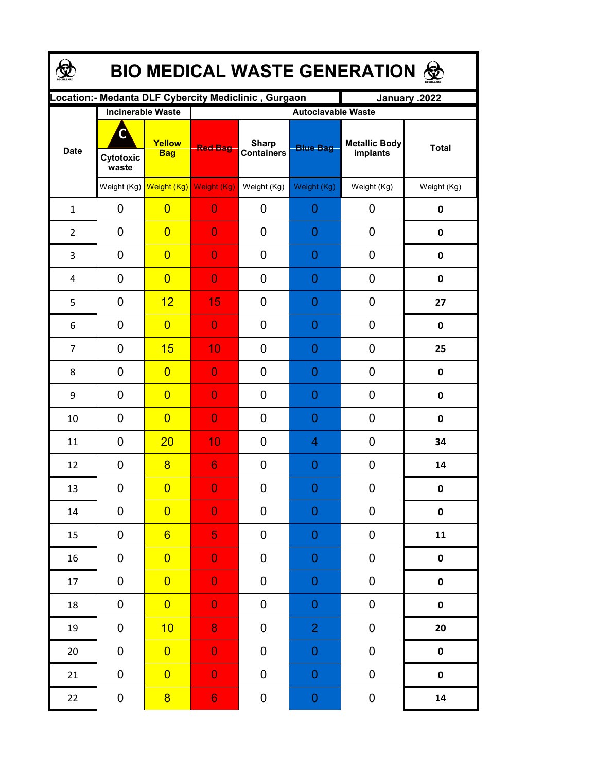| <b>BIO MEDICAL WASTE GENERATION ©</b> |                         |                                     |                                                      |                                   |                  |                           |              |  |  |  |
|---------------------------------------|-------------------------|-------------------------------------|------------------------------------------------------|-----------------------------------|------------------|---------------------------|--------------|--|--|--|
|                                       |                         |                                     | Location:- Medanta DLF Cybercity Mediclinic, Gurgaon |                                   |                  | January .2022             |              |  |  |  |
| <b>Date</b>                           |                         | <b>Incinerable Waste</b>            | Autoclavable Waste                                   |                                   |                  |                           |              |  |  |  |
|                                       | C<br>Cytotoxic<br>waste | Yellow<br><b>Bag</b>                | <b>Red Bag</b>                                       | <b>Sharp</b><br><b>Containers</b> | <b>Blue Bag</b>  | Metallic Body<br>implants | <b>Total</b> |  |  |  |
|                                       |                         | Weight (Kg) Weight (Kg) Weight (Kg) |                                                      | Weight (Kg)                       | Weight (Kg)      | Weight (Kg)               | Weight (Kg)  |  |  |  |
| $\mathbf{1}$                          | 0                       | $\overline{0}$                      | $\overline{0}$                                       | 0                                 | 0                | 0                         | $\pmb{0}$    |  |  |  |
| $\overline{2}$                        | 0                       | $\overline{0}$                      | $\overline{0}$                                       | $\overline{0}$                    | 0                | 0                         | $\mathbf 0$  |  |  |  |
| 3                                     | 0                       | $\overline{0}$                      | $\overline{0}$                                       | 0                                 | 0                | 0                         | $\mathbf 0$  |  |  |  |
| 4                                     | $\mathbf 0$             | $\overline{0}$                      | $\overline{0}$                                       | 0                                 | $\overline{0}$   | 0                         | $\mathbf 0$  |  |  |  |
| 5                                     | $\mathbf 0$             | 12                                  | 15                                                   | $\overline{0}$                    | 0                | 0                         | 27           |  |  |  |
| 6                                     | $\mathbf 0$             | $\overline{0}$                      | $\overline{0}$                                       | $\overline{0}$                    | 0                | 0                         | $\mathbf 0$  |  |  |  |
| $\overline{7}$                        | $\mathbf 0$             | 15                                  | 10                                                   | 0                                 | $\overline{0}$   | 0                         | 25           |  |  |  |
| 8                                     | $\mathbf 0$             | $\overline{0}$                      | $\overline{0}$                                       | $\overline{0}$                    | 0                | 0                         | 0            |  |  |  |
| 9                                     | $\overline{0}$          | $\overline{0}$                      | $\overline{0}$                                       | $\overline{0}$                    | 0                | 0                         | $\mathbf 0$  |  |  |  |
| 10                                    | 0                       | $\overline{0}$                      | $\overline{0}$                                       | $\overline{0}$                    | 0                | 0                         | $\mathbf 0$  |  |  |  |
| 11                                    | $\overline{0}$          | 20                                  | 10                                                   | $\overline{0}$                    | 4                | 0                         | 34           |  |  |  |
| 12                                    | $\mathbf 0$             | 8                                   | 6                                                    | $\overline{0}$                    | 0                | 0                         | 14           |  |  |  |
| 13                                    | 0                       | $\overline{\mathbf{0}}$             | $\mathbf{0}$                                         | 0                                 | $\Omega$         | 0                         | 0            |  |  |  |
| 14                                    | $\mathbf 0$             | $\overline{0}$                      | $\overline{0}$                                       | 0                                 | $\mathbf 0$      | 0                         | 0            |  |  |  |
| 15                                    | $\mathbf 0$             | $6 \overline{}$                     | 5                                                    | 0                                 | $\mathbf 0$      | 0                         | 11           |  |  |  |
| 16                                    | 0                       | $\overline{0}$                      | $\mathbf 0$                                          | 0                                 | $\mathbf 0$      | 0                         | $\pmb{0}$    |  |  |  |
| 17                                    | $\pmb{0}$               | $\overline{0}$                      | $\mathbf 0$                                          | 0                                 | $\boldsymbol{0}$ | $\pmb{0}$                 | $\pmb{0}$    |  |  |  |
| 18                                    | $\pmb{0}$               | $\overline{0}$                      | $\mathbf 0$                                          | 0                                 | $\boldsymbol{0}$ | 0                         | $\pmb{0}$    |  |  |  |
| 19                                    | $\pmb{0}$               | 10                                  | 8                                                    | $\mathbf 0$                       | $\overline{2}$   | 0                         | 20           |  |  |  |
| 20                                    | 0                       | $\overline{0}$                      | $\mathbf 0$                                          | 0                                 | $\mathbf 0$      | 0                         | $\pmb{0}$    |  |  |  |
| 21                                    | $\pmb{0}$               | $\overline{0}$                      | $\mathbf 0$                                          | 0                                 | $\boldsymbol{0}$ | 0                         | $\pmb{0}$    |  |  |  |
| 22                                    | $\pmb{0}$               | $\overline{8}$                      | 6 <sup>1</sup>                                       | 0                                 | $\mathbf 0$      | 0                         | 14           |  |  |  |